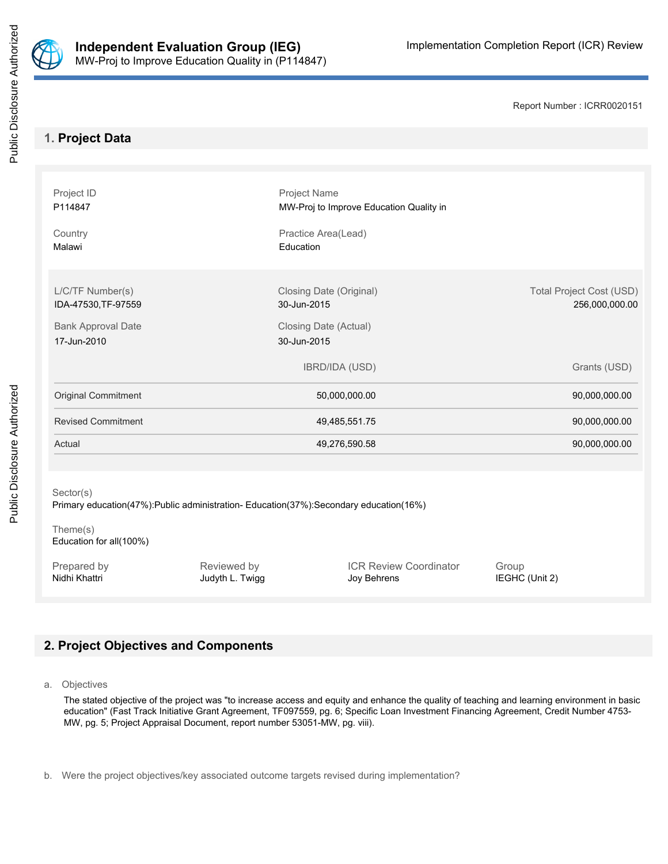

Report Number : ICRR0020151

# **1. Project Data**

| Project ID<br>P114847<br>Country<br>Malawi                                                                    |                                | Project Name<br>MW-Proj to Improve Education Quality in<br>Practice Area(Lead)<br>Education |                         |                                                   |  |  |  |  |
|---------------------------------------------------------------------------------------------------------------|--------------------------------|---------------------------------------------------------------------------------------------|-------------------------|---------------------------------------------------|--|--|--|--|
|                                                                                                               |                                |                                                                                             |                         |                                                   |  |  |  |  |
| L/C/TF Number(s)<br>IDA-47530, TF-97559                                                                       |                                | Closing Date (Original)<br>30-Jun-2015                                                      |                         | <b>Total Project Cost (USD)</b><br>256,000,000.00 |  |  |  |  |
| <b>Bank Approval Date</b><br>17-Jun-2010                                                                      |                                | Closing Date (Actual)<br>30-Jun-2015                                                        |                         |                                                   |  |  |  |  |
|                                                                                                               |                                | <b>IBRD/IDA (USD)</b>                                                                       |                         | Grants (USD)                                      |  |  |  |  |
| <b>Original Commitment</b>                                                                                    |                                | 50,000,000.00                                                                               |                         | 90,000,000.00                                     |  |  |  |  |
| <b>Revised Commitment</b>                                                                                     |                                | 49,485,551.75                                                                               |                         | 90,000,000.00                                     |  |  |  |  |
| Actual                                                                                                        |                                | 49,276,590.58                                                                               |                         | 90,000,000.00                                     |  |  |  |  |
|                                                                                                               |                                |                                                                                             |                         |                                                   |  |  |  |  |
| Sector(s)<br>Primary education(47%):Public administration-Education(37%):Secondary education(16%)<br>Theme(s) |                                |                                                                                             |                         |                                                   |  |  |  |  |
| Education for all(100%)                                                                                       |                                |                                                                                             |                         |                                                   |  |  |  |  |
| Prepared by<br>Nidhi Khattri                                                                                  | Reviewed by<br>Judyth L. Twigg | <b>ICR Review Coordinator</b><br>Joy Behrens                                                | Group<br>IEGHC (Unit 2) |                                                   |  |  |  |  |

# **2. Project Objectives and Components**

a. Objectives

The stated objective of the project was "to increase access and equity and enhance the quality of teaching and learning environment in basic education" (Fast Track Initiative Grant Agreement, TF097559, pg. 6; Specific Loan Investment Financing Agreement, Credit Number 4753- MW, pg. 5; Project Appraisal Document, report number 53051-MW, pg. viii).

b. Were the project objectives/key associated outcome targets revised during implementation?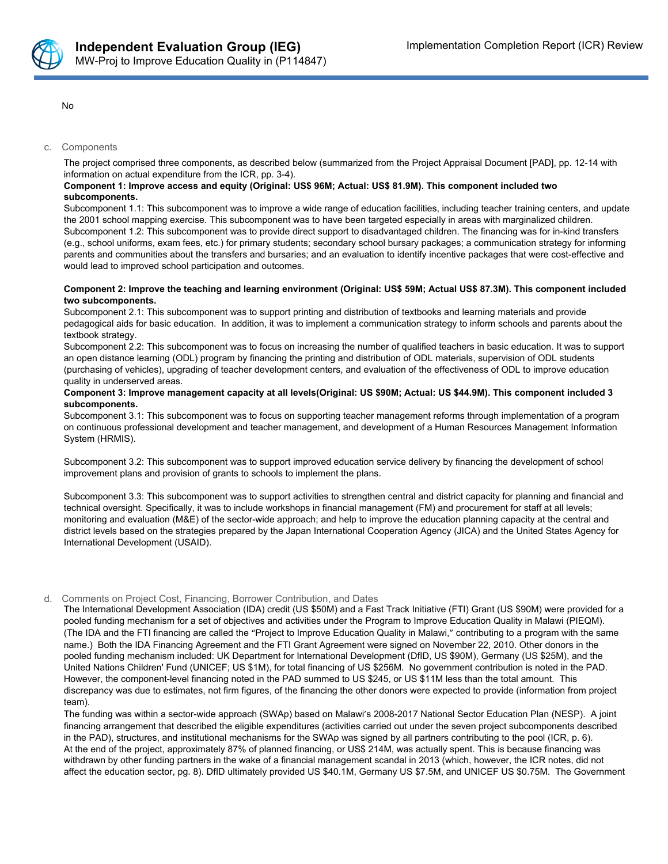

No

#### c. Components

The project comprised three components, as described below (summarized from the Project Appraisal Document [PAD], pp. 12-14 with information on actual expenditure from the ICR, pp. 3-4).

### **Component 1: Improve access and equity (Original: US\$ 96M; Actual: US\$ 81.9M). This component included two subcomponents.**

Subcomponent 1.1: This subcomponent was to improve a wide range of education facilities, including teacher training centers, and update the 2001 school mapping exercise. This subcomponent was to have been targeted especially in areas with marginalized children. Subcomponent 1.2: This subcomponent was to provide direct support to disadvantaged children. The financing was for in-kind transfers (e.g., school uniforms, exam fees, etc.) for primary students; secondary school bursary packages; a communication strategy for informing parents and communities about the transfers and bursaries; and an evaluation to identify incentive packages that were cost-effective and would lead to improved school participation and outcomes.

### Component 2: Improve the teaching and learning environment (Original: US\$ 59M; Actual US\$ 87.3M). This component included **two subcomponents.**

Subcomponent 2.1: This subcomponent was to support printing and distribution of textbooks and learning materials and provide pedagogical aids for basic education. In addition, it was to implement a communication strategy to inform schools and parents about the textbook strategy.

Subcomponent 2.2: This subcomponent was to focus on increasing the number of qualified teachers in basic education. It was to support an open distance learning (ODL) program by financing the printing and distribution of ODL materials, supervision of ODL students (purchasing of vehicles), upgrading of teacher development centers, and evaluation of the effectiveness of ODL to improve education quality in underserved areas.

#### Component 3: Improve management capacity at all levels(Original: US \$90M; Actual: US \$44.9M). This component included 3 **subcomponents.**

Subcomponent 3.1: This subcomponent was to focus on supporting teacher management reforms through implementation of a program on continuous professional development and teacher management, and development of a Human Resources Management Information System (HRMIS).

Subcomponent 3.2: This subcomponent was to support improved education service delivery by financing the development of school improvement plans and provision of grants to schools to implement the plans.

Subcomponent 3.3: This subcomponent was to support activities to strengthen central and district capacity for planning and financial and technical oversight. Specifically, it was to include workshops in financial management (FM) and procurement for staff at all levels; monitoring and evaluation (M&E) of the sector-wide approach; and help to improve the education planning capacity at the central and district levels based on the strategies prepared by the Japan International Cooperation Agency (JICA) and the United States Agency for International Development (USAID).

### d. Comments on Project Cost, Financing, Borrower Contribution, and Dates

The International Development Association (IDA) credit (US \$50M) and a Fast Track Initiative (FTI) Grant (US \$90M) were provided for a pooled funding mechanism for a set of objectives and activities under the Program to Improve Education Quality in Malawi (PIEQM). (The IDA and the FTI financing are called the "Project to Improve Education Quality in Malawi," contributing to a program with the same name.) Both the IDA Financing Agreement and the FTI Grant Agreement were signed on November 22, 2010. Other donors in the pooled funding mechanism included: UK Department for International Development (DfID, US \$90M), Germany (US \$25M), and the United Nations Children' Fund (UNICEF; US \$1M), for total financing of US \$256M. No government contribution is noted in the PAD. However, the component-level financing noted in the PAD summed to US \$245, or US \$11M less than the total amount. This discrepancy was due to estimates, not firm figures, of the financing the other donors were expected to provide (information from project team).

The funding was within a sector-wide approach (SWAp) based on Malawi's 2008-2017 National Sector Education Plan (NESP). A joint financing arrangement that described the eligible expenditures (activities carried out under the seven project subcomponents described in the PAD), structures, and institutional mechanisms for the SWAp was signed by all partners contributing to the pool (ICR, p. 6). At the end of the project, approximately 87% of planned financing, or US\$ 214M, was actually spent. This is because financing was withdrawn by other funding partners in the wake of a financial management scandal in 2013 (which, however, the ICR notes, did not affect the education sector, pg. 8). DfID ultimately provided US \$40.1M, Germany US \$7.5M, and UNICEF US \$0.75M. The Government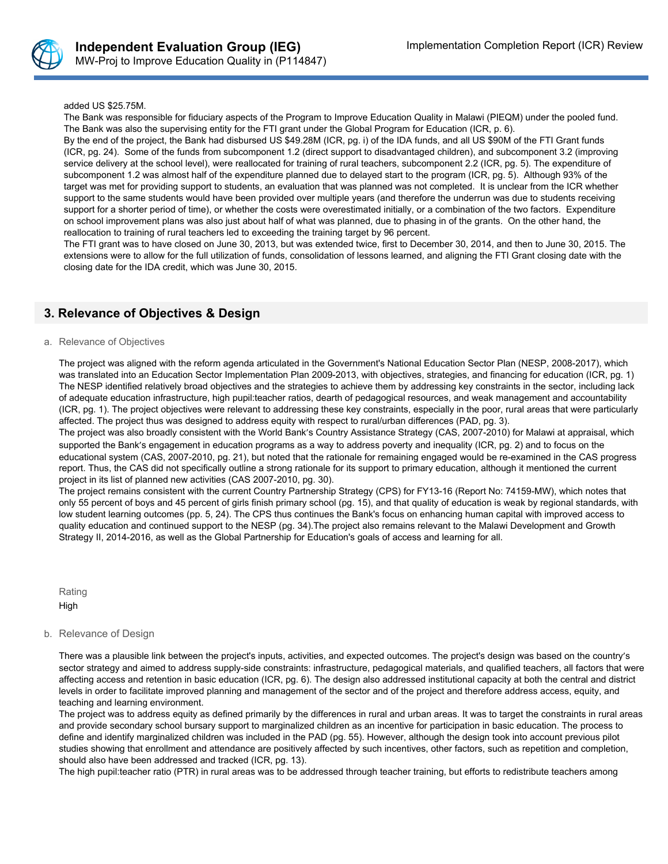

### added US \$25.75M.

The Bank was responsible for fiduciary aspects of the Program to Improve Education Quality in Malawi (PIEQM) under the pooled fund. The Bank was also the supervising entity for the FTI grant under the Global Program for Education (ICR, p. 6).

By the end of the project, the Bank had disbursed US \$49.28M (ICR, pg. i) of the IDA funds, and all US \$90M of the FTI Grant funds (ICR, pg. 24). Some of the funds from subcomponent 1.2 (direct support to disadvantaged children), and subcomponent 3.2 (improving service delivery at the school level), were reallocated for training of rural teachers, subcomponent 2.2 (ICR, pg. 5). The expenditure of subcomponent 1.2 was almost half of the expenditure planned due to delayed start to the program (ICR, pg. 5). Although 93% of the target was met for providing support to students, an evaluation that was planned was not completed. It is unclear from the ICR whether support to the same students would have been provided over multiple years (and therefore the underrun was due to students receiving support for a shorter period of time), or whether the costs were overestimated initially, or a combination of the two factors. Expenditure on school improvement plans was also just about half of what was planned, due to phasing in of the grants. On the other hand, the reallocation to training of rural teachers led to exceeding the training target by 96 percent.

The FTI grant was to have closed on June 30, 2013, but was extended twice, first to December 30, 2014, and then to June 30, 2015. The extensions were to allow for the full utilization of funds, consolidation of lessons learned, and aligning the FTI Grant closing date with the closing date for the IDA credit, which was June 30, 2015.

## **3. Relevance of Objectives & Design**

#### a. Relevance of Objectives

The project was aligned with the reform agenda articulated in the Government's National Education Sector Plan (NESP, 2008-2017), which was translated into an Education Sector Implementation Plan 2009-2013, with objectives, strategies, and financing for education (ICR, pg. 1) The NESP identified relatively broad objectives and the strategies to achieve them by addressing key constraints in the sector, including lack of adequate education infrastructure, high pupil:teacher ratios, dearth of pedagogical resources, and weak management and accountability (ICR, pg. 1). The project objectives were relevant to addressing these key constraints, especially in the poor, rural areas that were particularly affected. The project thus was designed to address equity with respect to rural/urban differences (PAD, pg. 3).

The project was also broadly consistent with the World Bank's Country Assistance Strategy (CAS, 2007-2010) for Malawi at appraisal, which supported the Bank's engagement in education programs as a way to address poverty and inequality (ICR, pg. 2) and to focus on the educational system (CAS, 2007-2010, pg. 21), but noted that the rationale for remaining engaged would be re-examined in the CAS progress report. Thus, the CAS did not specifically outline a strong rationale for its support to primary education, although it mentioned the current project in its list of planned new activities (CAS 2007-2010, pg. 30).

The project remains consistent with the current Country Partnership Strategy (CPS) for FY13-16 (Report No: 74159-MW), which notes that only 55 percent of boys and 45 percent of girls finish primary school (pg. 15), and that quality of education is weak by regional standards, with low student learning outcomes (pp. 5, 24). The CPS thus continues the Bank's focus on enhancing human capital with improved access to quality education and continued support to the NESP (pg. 34).The project also remains relevant to the Malawi Development and Growth Strategy II, 2014-2016, as well as the Global Partnership for Education's goals of access and learning for all.

Rating High

### b. Relevance of Design

There was a plausible link between the project's inputs, activities, and expected outcomes. The project's design was based on the country's sector strategy and aimed to address supply-side constraints: infrastructure, pedagogical materials, and qualified teachers, all factors that were affecting access and retention in basic education (ICR, pg. 6). The design also addressed institutional capacity at both the central and district levels in order to facilitate improved planning and management of the sector and of the project and therefore address access, equity, and teaching and learning environment.

The project was to address equity as defined primarily by the differences in rural and urban areas. It was to target the constraints in rural areas and provide secondary school bursary support to marginalized children as an incentive for participation in basic education. The process to define and identify marginalized children was included in the PAD (pg. 55). However, although the design took into account previous pilot studies showing that enrollment and attendance are positively affected by such incentives, other factors, such as repetition and completion, should also have been addressed and tracked (ICR, pg. 13).

The high pupil:teacher ratio (PTR) in rural areas was to be addressed through teacher training, but efforts to redistribute teachers among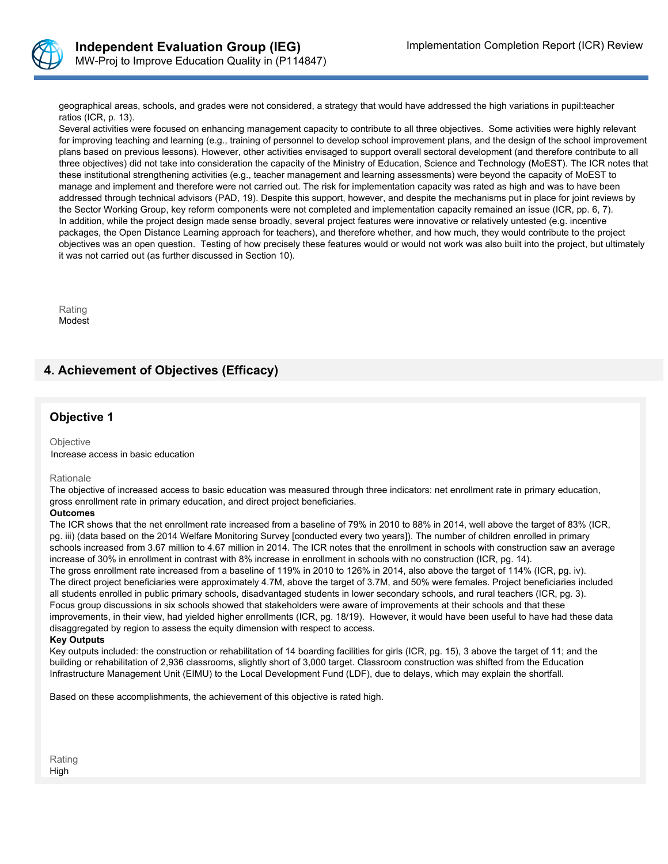

geographical areas, schools, and grades were not considered, a strategy that would have addressed the high variations in pupil:teacher ratios (ICR, p. 13).

Several activities were focused on enhancing management capacity to contribute to all three objectives. Some activities were highly relevant for improving teaching and learning (e.g., training of personnel to develop school improvement plans, and the design of the school improvement plans based on previous lessons). However, other activities envisaged to support overall sectoral development (and therefore contribute to all three objectives) did not take into consideration the capacity of the Ministry of Education, Science and Technology (MoEST). The ICR notes that these institutional strengthening activities (e.g., teacher management and learning assessments) were beyond the capacity of MoEST to manage and implement and therefore were not carried out. The risk for implementation capacity was rated as high and was to have been addressed through technical advisors (PAD, 19). Despite this support, however, and despite the mechanisms put in place for joint reviews by the Sector Working Group, key reform components were not completed and implementation capacity remained an issue (ICR, pp. 6, 7). In addition, while the project design made sense broadly, several project features were innovative or relatively untested (e.g. incentive packages, the Open Distance Learning approach for teachers), and therefore whether, and how much, they would contribute to the project objectives was an open question. Testing of how precisely these features would or would not work was also built into the project, but ultimately it was not carried out (as further discussed in Section 10).

Rating Modest

## **4. Achievement of Objectives (Efficacy)**

## **Objective 1**

**Objective** Increase access in basic education

**Rationale** 

The objective of increased access to basic education was measured through three indicators: net enrollment rate in primary education, gross enrollment rate in primary education, and direct project beneficiaries.

### **Outcomes**

The ICR shows that the net enrollment rate increased from a baseline of 79% in 2010 to 88% in 2014, well above the target of 83% (ICR, pg. iii) (data based on the 2014 Welfare Monitoring Survey [conducted every two years]). The number of children enrolled in primary schools increased from 3.67 million to 4.67 million in 2014. The ICR notes that the enrollment in schools with construction saw an average increase of 30% in enrollment in contrast with 8% increase in enrollment in schools with no construction (ICR, pg. 14). The gross enrollment rate increased from a baseline of 119% in 2010 to 126% in 2014, also above the target of 114% (ICR, pg. iv). The direct project beneficiaries were approximately 4.7M, above the target of 3.7M, and 50% were females. Project beneficiaries included all students enrolled in public primary schools, disadvantaged students in lower secondary schools, and rural teachers (ICR, pg. 3). Focus group discussions in six schools showed that stakeholders were aware of improvements at their schools and that these improvements, in their view, had yielded higher enrollments (ICR, pg. 18/19). However, it would have been useful to have had these data disaggregated by region to assess the equity dimension with respect to access.

#### **Key Outputs**

Key outputs included: the construction or rehabilitation of 14 boarding facilities for girls (ICR, pg. 15), 3 above the target of 11; and the building or rehabilitation of 2,936 classrooms, slightly short of 3,000 target. Classroom construction was shifted from the Education Infrastructure Management Unit (EIMU) to the Local Development Fund (LDF), due to delays, which may explain the shortfall.

Based on these accomplishments, the achievement of this objective is rated high.

Rating High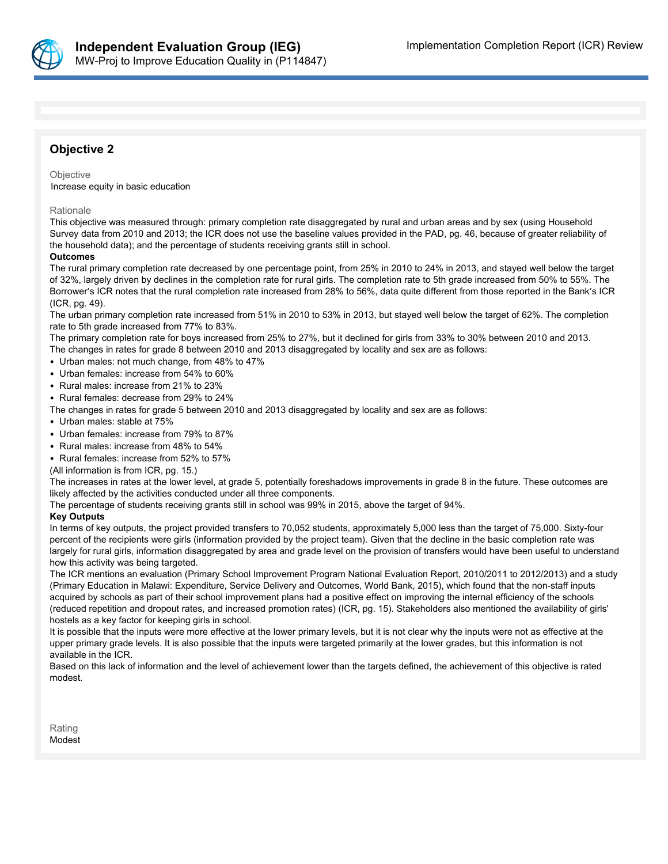

## **Objective 2**

#### **Objective**

Increase equity in basic education

#### Rationale

This objective was measured through: primary completion rate disaggregated by rural and urban areas and by sex (using Household Survey data from 2010 and 2013; the ICR does not use the baseline values provided in the PAD, pg. 46, because of greater reliability of the household data); and the percentage of students receiving grants still in school.

### **Outcomes**

The rural primary completion rate decreased by one percentage point, from 25% in 2010 to 24% in 2013, and stayed well below the target of 32%, largely driven by declines in the completion rate for rural girls. The completion rate to 5th grade increased from 50% to 55%. The Borrower's ICR notes that the rural completion rate increased from 28% to 56%, data quite different from those reported in the Bank's ICR (ICR, pg. 49).

The urban primary completion rate increased from 51% in 2010 to 53% in 2013, but stayed well below the target of 62%. The completion rate to 5th grade increased from 77% to 83%.

The primary completion rate for boys increased from 25% to 27%, but it declined for girls from 33% to 30% between 2010 and 2013. The changes in rates for grade 8 between 2010 and 2013 disaggregated by locality and sex are as follows:

- Urban males: not much change, from 48% to 47%
- Urban females: increase from 54% to 60%
- Rural males: increase from 21% to 23%
- Rural females: decrease from 29% to 24%
- The changes in rates for grade 5 between 2010 and 2013 disaggregated by locality and sex are as follows:
- Urban males: stable at 75%
- Urban females: increase from 79% to 87%
- Rural males: increase from 48% to 54%
- Rural females: increase from 52% to 57%

(All information is from ICR, pg. 15.)

The increases in rates at the lower level, at grade 5, potentially foreshadows improvements in grade 8 in the future. These outcomes are likely affected by the activities conducted under all three components.

The percentage of students receiving grants still in school was 99% in 2015, above the target of 94%.

### **Key Outputs**

In terms of key outputs, the project provided transfers to 70,052 students, approximately 5,000 less than the target of 75,000. Sixty-four percent of the recipients were girls (information provided by the project team). Given that the decline in the basic completion rate was largely for rural girls, information disaggregated by area and grade level on the provision of transfers would have been useful to understand how this activity was being targeted.

The ICR mentions an evaluation (Primary School Improvement Program National Evaluation Report, 2010/2011 to 2012/2013) and a study (Primary Education in Malawi: Expenditure, Service Delivery and Outcomes, World Bank, 2015), which found that the non-staff inputs acquired by schools as part of their school improvement plans had a positive effect on improving the internal efficiency of the schools (reduced repetition and dropout rates, and increased promotion rates) (ICR, pg. 15). Stakeholders also mentioned the availability of girls' hostels as a key factor for keeping girls in school.

It is possible that the inputs were more effective at the lower primary levels, but it is not clear why the inputs were not as effective at the upper primary grade levels. It is also possible that the inputs were targeted primarily at the lower grades, but this information is not available in the ICR.

Based on this lack of information and the level of achievement lower than the targets defined, the achievement of this objective is rated modest.

Rating Modest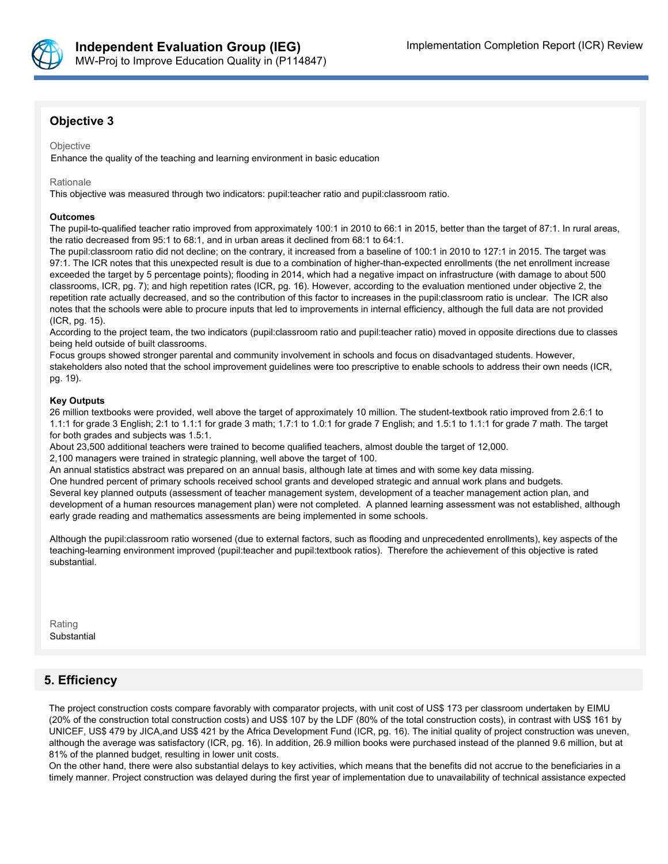

## **Objective 3**

#### **Objective**

Enhance the quality of the teaching and learning environment in basic education

#### Rationale

This objective was measured through two indicators: pupil:teacher ratio and pupil:classroom ratio.

#### **Outcomes**

The pupil-to-qualified teacher ratio improved from approximately 100:1 in 2010 to 66:1 in 2015, better than the target of 87:1. In rural areas, the ratio decreased from 95:1 to 68:1, and in urban areas it declined from 68:1 to 64:1.

The pupil:classroom ratio did not decline; on the contrary, it increased from a baseline of 100:1 in 2010 to 127:1 in 2015. The target was 97:1. The ICR notes that this unexpected result is due to a combination of higher-than-expected enrollments (the net enrollment increase exceeded the target by 5 percentage points); flooding in 2014, which had a negative impact on infrastructure (with damage to about 500 classrooms, ICR, pg. 7); and high repetition rates (ICR, pg. 16). However, according to the evaluation mentioned under objective 2, the repetition rate actually decreased, and so the contribution of this factor to increases in the pupil:classroom ratio is unclear. The ICR also notes that the schools were able to procure inputs that led to improvements in internal efficiency, although the full data are not provided (ICR, pg. 15).

According to the project team, the two indicators (pupil:classroom ratio and pupil:teacher ratio) moved in opposite directions due to classes being held outside of built classrooms.

Focus groups showed stronger parental and community involvement in schools and focus on disadvantaged students. However, stakeholders also noted that the school improvement guidelines were too prescriptive to enable schools to address their own needs (ICR, pg. 19).

### **Key Outputs**

26 million textbooks were provided, well above the target of approximately 10 million. The student-textbook ratio improved from 2.6:1 to 1.1:1 for grade 3 English; 2:1 to 1.1:1 for grade 3 math; 1.7:1 to 1.0:1 for grade 7 English; and 1.5:1 to 1.1:1 for grade 7 math. The target for both grades and subjects was 1.5:1.

About 23,500 additional teachers were trained to become qualified teachers, almost double the target of 12,000.

2,100 managers were trained in strategic planning, well above the target of 100.

An annual statistics abstract was prepared on an annual basis, although late at times and with some key data missing.

One hundred percent of primary schools received school grants and developed strategic and annual work plans and budgets. Several key planned outputs (assessment of teacher management system, development of a teacher management action plan, and development of a human resources management plan) were not completed. A planned learning assessment was not established, although early grade reading and mathematics assessments are being implemented in some schools.

Although the pupil:classroom ratio worsened (due to external factors, such as flooding and unprecedented enrollments), key aspects of the teaching-learning environment improved (pupil:teacher and pupil:textbook ratios). Therefore the achievement of this objective is rated substantial.

Rating Substantial

## **5. Efficiency**

The project construction costs compare favorably with comparator projects, with unit cost of US\$ 173 per classroom undertaken by EIMU (20% of the construction total construction costs) and US\$ 107 by the LDF (80% of the total construction costs), in contrast with US\$ 161 by UNICEF, US\$ 479 by JICA,and US\$ 421 by the Africa Development Fund (ICR, pg. 16). The initial quality of project construction was uneven, although the average was satisfactory (ICR, pg. 16). In addition, 26.9 million books were purchased instead of the planned 9.6 million, but at 81% of the planned budget, resulting in lower unit costs.

On the other hand, there were also substantial delays to key activities, which means that the benefits did not accrue to the beneficiaries in a timely manner. Project construction was delayed during the first year of implementation due to unavailability of technical assistance expected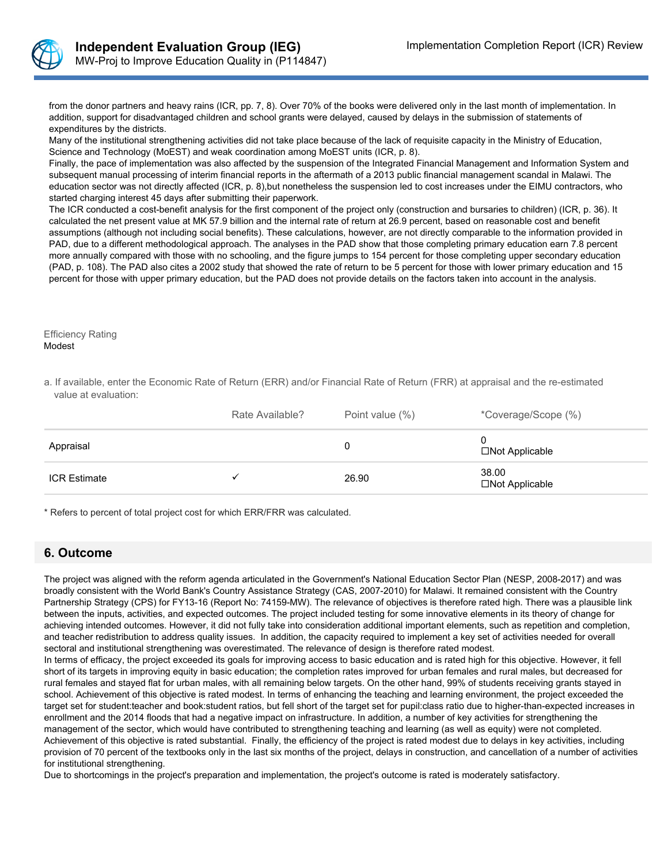

from the donor partners and heavy rains (ICR, pp. 7, 8). Over 70% of the books were delivered only in the last month of implementation. In addition, support for disadvantaged children and school grants were delayed, caused by delays in the submission of statements of expenditures by the districts.

Many of the institutional strengthening activities did not take place because of the lack of requisite capacity in the Ministry of Education, Science and Technology (MoEST) and weak coordination among MoEST units (ICR, p. 8).

Finally, the pace of implementation was also affected by the suspension of the Integrated Financial Management and Information System and subsequent manual processing of interim financial reports in the aftermath of a 2013 public financial management scandal in Malawi. The education sector was not directly affected (ICR, p. 8),but nonetheless the suspension led to cost increases under the EIMU contractors, who started charging interest 45 days after submitting their paperwork.

The ICR conducted a cost-benefit analysis for the first component of the project only (construction and bursaries to children) (ICR, p. 36). It calculated the net present value at MK 57.9 billion and the internal rate of return at 26.9 percent, based on reasonable cost and benefit assumptions (although not including social benefits). These calculations, however, are not directly comparable to the information provided in PAD, due to a different methodological approach. The analyses in the PAD show that those completing primary education earn 7.8 percent more annually compared with those with no schooling, and the figure jumps to 154 percent for those completing upper secondary education (PAD, p. 108). The PAD also cites a 2002 study that showed the rate of return to be 5 percent for those with lower primary education and 15 percent for those with upper primary education, but the PAD does not provide details on the factors taken into account in the analysis.

Efficiency Rating Modest

a. If available, enter the Economic Rate of Return (ERR) and/or Financial Rate of Return (FRR) at appraisal and the re-estimated value at evaluation:

|                     | Rate Available? | Point value (%) | *Coverage/Scope (%)               |
|---------------------|-----------------|-----------------|-----------------------------------|
| Appraisal           |                 | U               | U<br>$\square$ Not Applicable     |
| <b>ICR Estimate</b> |                 | 26.90           | 38.00<br>$\square$ Not Applicable |

\* Refers to percent of total project cost for which ERR/FRR was calculated.

## **6. Outcome**

The project was aligned with the reform agenda articulated in the Government's National Education Sector Plan (NESP, 2008-2017) and was broadly consistent with the World Bank's Country Assistance Strategy (CAS, 2007-2010) for Malawi. It remained consistent with the Country Partnership Strategy (CPS) for FY13-16 (Report No: 74159-MW). The relevance of objectives is therefore rated high. There was a plausible link between the inputs, activities, and expected outcomes. The project included testing for some innovative elements in its theory of change for achieving intended outcomes. However, it did not fully take into consideration additional important elements, such as repetition and completion, and teacher redistribution to address quality issues. In addition, the capacity required to implement a key set of activities needed for overall sectoral and institutional strengthening was overestimated. The relevance of design is therefore rated modest.

In terms of efficacy, the project exceeded its goals for improving access to basic education and is rated high for this objective. However, it fell short of its targets in improving equity in basic education; the completion rates improved for urban females and rural males, but decreased for rural females and stayed flat for urban males, with all remaining below targets. On the other hand, 99% of students receiving grants stayed in school. Achievement of this objective is rated modest. In terms of enhancing the teaching and learning environment, the project exceeded the target set for student:teacher and book:student ratios, but fell short of the target set for pupil:class ratio due to higher-than-expected increases in enrollment and the 2014 floods that had a negative impact on infrastructure. In addition, a number of key activities for strengthening the management of the sector, which would have contributed to strengthening teaching and learning (as well as equity) were not completed. Achievement of this objective is rated substantial. Finally, the efficiency of the project is rated modest due to delays in key activities, including provision of 70 percent of the textbooks only in the last six months of the project, delays in construction, and cancellation of a number of activities for institutional strengthening.

Due to shortcomings in the project's preparation and implementation, the project's outcome is rated is moderately satisfactory.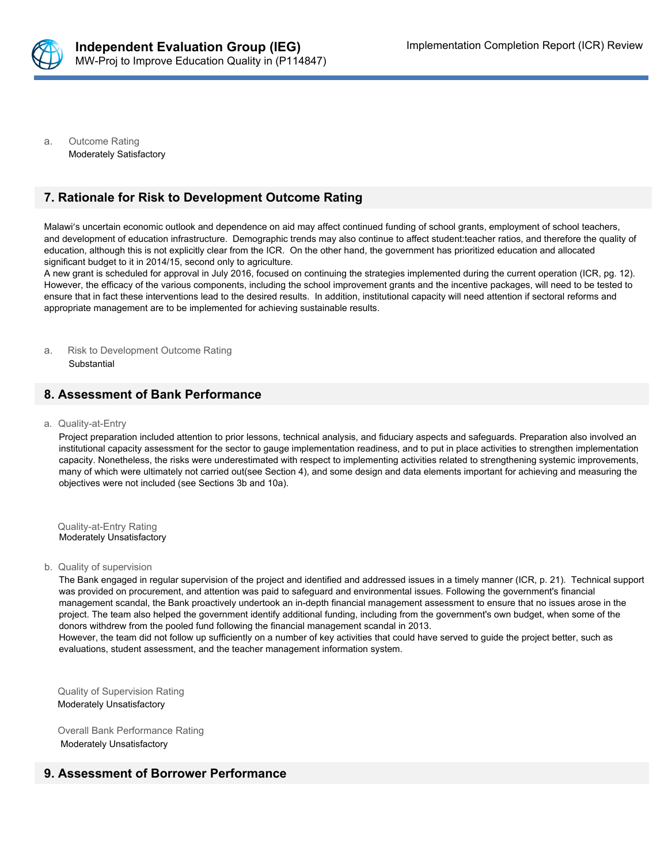

a. Outcome Rating Moderately Satisfactory

## **7. Rationale for Risk to Development Outcome Rating**

Malawi's uncertain economic outlook and dependence on aid may affect continued funding of school grants, employment of school teachers, and development of education infrastructure. Demographic trends may also continue to affect student:teacher ratios, and therefore the quality of education, although this is not explicitly clear from the ICR. On the other hand, the government has prioritized education and allocated significant budget to it in 2014/15, second only to agriculture.

A new grant is scheduled for approval in July 2016, focused on continuing the strategies implemented during the current operation (ICR, pg. 12). However, the efficacy of the various components, including the school improvement grants and the incentive packages, will need to be tested to ensure that in fact these interventions lead to the desired results. In addition, institutional capacity will need attention if sectoral reforms and appropriate management are to be implemented for achieving sustainable results.

a. Risk to Development Outcome Rating **Substantial** 

## **8. Assessment of Bank Performance**

a. Quality-at-Entry

Project preparation included attention to prior lessons, technical analysis, and fiduciary aspects and safeguards. Preparation also involved an institutional capacity assessment for the sector to gauge implementation readiness, and to put in place activities to strengthen implementation capacity. Nonetheless, the risks were underestimated with respect to implementing activities related to strengthening systemic improvements, many of which were ultimately not carried out(see Section 4), and some design and data elements important for achieving and measuring the objectives were not included (see Sections 3b and 10a).

Quality-at-Entry Rating Moderately Unsatisfactory

b. Quality of supervision

The Bank engaged in regular supervision of the project and identified and addressed issues in a timely manner (ICR, p. 21). Technical support was provided on procurement, and attention was paid to safeguard and environmental issues. Following the government's financial management scandal, the Bank proactively undertook an in-depth financial management assessment to ensure that no issues arose in the project. The team also helped the government identify additional funding, including from the government's own budget, when some of the donors withdrew from the pooled fund following the financial management scandal in 2013.

However, the team did not follow up sufficiently on a number of key activities that could have served to guide the project better, such as evaluations, student assessment, and the teacher management information system.

Quality of Supervision Rating Moderately Unsatisfactory

Overall Bank Performance Rating Moderately Unsatisfactory

## **9. Assessment of Borrower Performance**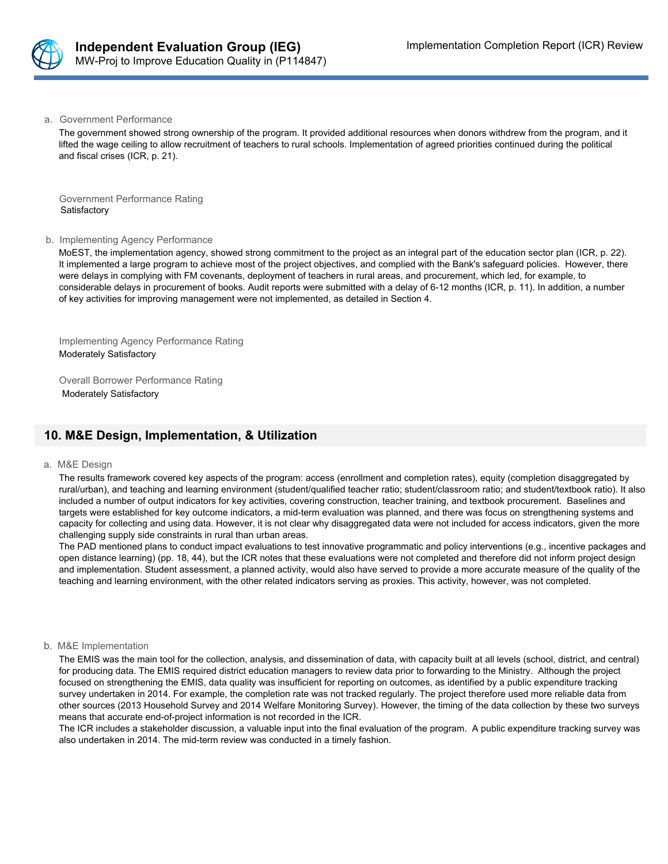

a. Government Performance

The government showed strong ownership of the program. It provided additional resources when donors withdrew from the program, and it lifted the wage ceiling to allow recruitment of teachers to rural schools. Implementation of agreed priorities continued during the political and fiscal crises (ICR, p. 21).

Government Performance Rating Satisfactory

#### b. Implementing Agency Performance

MoEST, the implementation agency, showed strong commitment to the project as an integral part of the education sector plan (ICR, p. 22). It implemented a large program to achieve most of the project objectives, and complied with the Bank's safeguard policies. However, there were delays in complying with FM covenants, deployment of teachers in rural areas, and procurement, which led, for example, to considerable delays in procurement of books. Audit reports were submitted with a delay of 6-12 months (ICR, p. 11). In addition, a number of key activities for improving management were not implemented, as detailed in Section 4.

Implementing Agency Performance Rating Moderately Satisfactory

Overall Borrower Performance Rating Moderately Satisfactory

## **10. M&E Design, Implementation, & Utilization**

#### a. M&E Design

The results framework covered key aspects of the program: access (enrollment and completion rates), equity (completion disaggregated by rural/urban), and teaching and learning environment (student/qualified teacher ratio; student/classroom ratio; and student/textbook ratio). It also included a number of output indicators for key activities, covering construction, teacher training, and textbook procurement. Baselines and targets were established for key outcome indicators, a mid-term evaluation was planned, and there was focus on strengthening systems and capacity for collecting and using data. However, it is not clear why disaggregated data were not included for access indicators, given the more challenging supply side constraints in rural than urban areas.

The PAD mentioned plans to conduct impact evaluations to test innovative programmatic and policy interventions (e.g., incentive packages and open distance learning) (pp. 18, 44), but the ICR notes that these evaluations were not completed and therefore did not inform project design and implementation. Student assessment, a planned activity, would also have served to provide a more accurate measure of the quality of the teaching and learning environment, with the other related indicators serving as proxies. This activity, however, was not completed.

### b. M&E Implementation

The EMIS was the main tool for the collection, analysis, and dissemination of data, with capacity built at all levels (school, district, and central) for producing data. The EMIS required district education managers to review data prior to forwarding to the Ministry. Although the project focused on strengthening the EMIS, data quality was insufficient for reporting on outcomes, as identified by a public expenditure tracking survey undertaken in 2014. For example, the completion rate was not tracked regularly. The project therefore used more reliable data from other sources (2013 Household Survey and 2014 Welfare Monitoring Survey). However, the timing of the data collection by these two surveys means that accurate end-of-project information is not recorded in the ICR.

The ICR includes a stakeholder discussion, a valuable input into the final evaluation of the program. A public expenditure tracking survey was also undertaken in 2014. The mid-term review was conducted in a timely fashion.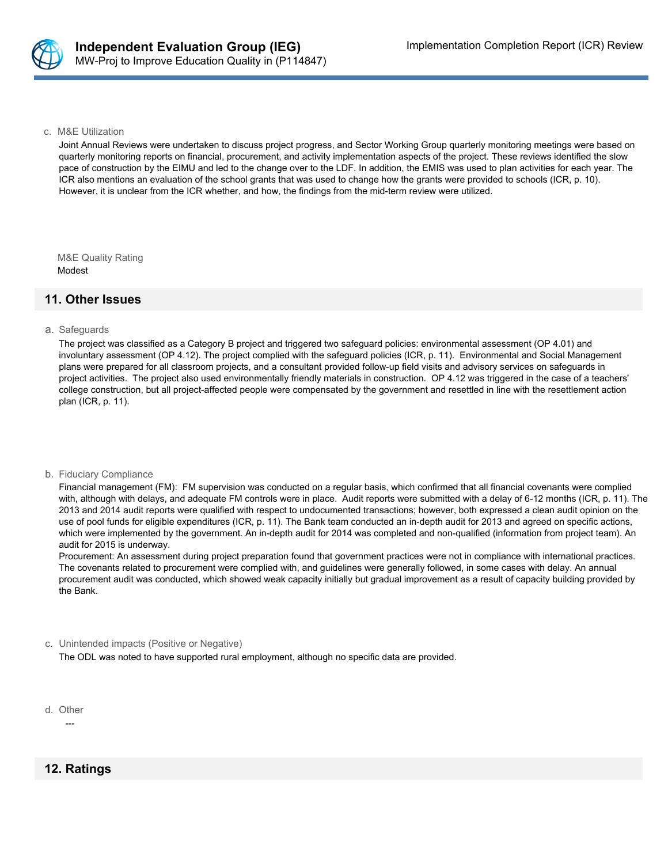

#### c. M&E Utilization

Joint Annual Reviews were undertaken to discuss project progress, and Sector Working Group quarterly monitoring meetings were based on quarterly monitoring reports on financial, procurement, and activity implementation aspects of the project. These reviews identified the slow pace of construction by the EIMU and led to the change over to the LDF. In addition, the EMIS was used to plan activities for each year. The ICR also mentions an evaluation of the school grants that was used to change how the grants were provided to schools (ICR, p. 10). However, it is unclear from the ICR whether, and how, the findings from the mid-term review were utilized.

M&E Quality Rating Modest

## **11. Other Issues**

#### a. Safeguards

The project was classified as a Category B project and triggered two safeguard policies: environmental assessment (OP 4.01) and involuntary assessment (OP 4.12). The project complied with the safeguard policies (ICR, p. 11). Environmental and Social Management plans were prepared for all classroom projects, and a consultant provided follow-up field visits and advisory services on safeguards in project activities. The project also used environmentally friendly materials in construction. OP 4.12 was triggered in the case of a teachers' college construction, but all project-affected people were compensated by the government and resettled in line with the resettlement action plan (ICR, p. 11).

#### b. Fiduciary Compliance

Financial management (FM): FM supervision was conducted on a regular basis, which confirmed that all financial covenants were complied with, although with delays, and adequate FM controls were in place. Audit reports were submitted with a delay of 6-12 months (ICR, p. 11). The 2013 and 2014 audit reports were qualified with respect to undocumented transactions; however, both expressed a clean audit opinion on the use of pool funds for eligible expenditures (ICR, p. 11). The Bank team conducted an in-depth audit for 2013 and agreed on specific actions, which were implemented by the government. An in-depth audit for 2014 was completed and non-qualified (information from project team). An audit for 2015 is underway.

Procurement: An assessment during project preparation found that government practices were not in compliance with international practices. The covenants related to procurement were complied with, and guidelines were generally followed, in some cases with delay. An annual procurement audit was conducted, which showed weak capacity initially but gradual improvement as a result of capacity building provided by the Bank.

#### c. Unintended impacts (Positive or Negative)

The ODL was noted to have supported rural employment, although no specific data are provided.

d. Other

---

**12. Ratings**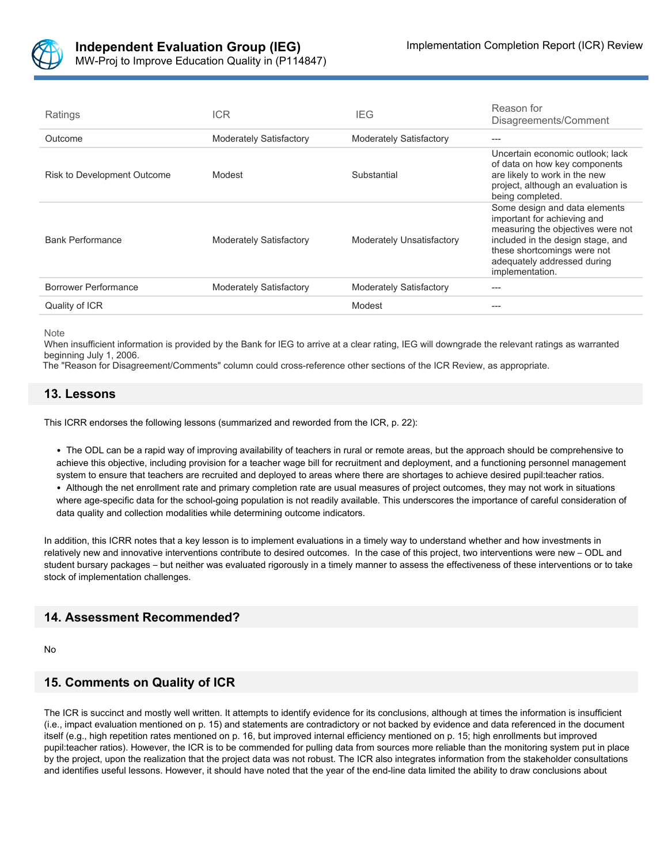

| Ratings                     | <b>ICR</b>                     | IEG                            | Reason for<br>Disagreements/Comment                                                                                                                                                                                     |
|-----------------------------|--------------------------------|--------------------------------|-------------------------------------------------------------------------------------------------------------------------------------------------------------------------------------------------------------------------|
| Outcome                     | <b>Moderately Satisfactory</b> | <b>Moderately Satisfactory</b> | ---                                                                                                                                                                                                                     |
| Risk to Development Outcome | Modest                         | Substantial                    | Uncertain economic outlook: lack<br>of data on how key components<br>are likely to work in the new<br>project, although an evaluation is<br>being completed.                                                            |
| <b>Bank Performance</b>     | <b>Moderately Satisfactory</b> | Moderately Unsatisfactory      | Some design and data elements<br>important for achieving and<br>measuring the objectives were not<br>included in the design stage, and<br>these shortcomings were not<br>adequately addressed during<br>implementation. |
| Borrower Performance        | <b>Moderately Satisfactory</b> | <b>Moderately Satisfactory</b> | ---                                                                                                                                                                                                                     |
| Quality of ICR              |                                | Modest                         |                                                                                                                                                                                                                         |

Note

When insufficient information is provided by the Bank for IEG to arrive at a clear rating, IEG will downgrade the relevant ratings as warranted beginning July 1, 2006.

The "Reason for Disagreement/Comments" column could cross-reference other sections of the ICR Review, as appropriate.

### **13. Lessons**

This ICRR endorses the following lessons (summarized and reworded from the ICR, p. 22):

• The ODL can be a rapid way of improving availability of teachers in rural or remote areas, but the approach should be comprehensive to achieve this objective, including provision for a teacher wage bill for recruitment and deployment, and a functioning personnel management system to ensure that teachers are recruited and deployed to areas where there are shortages to achieve desired pupil:teacher ratios. • Although the net enrollment rate and primary completion rate are usual measures of project outcomes, they may not work in situations where age-specific data for the school-going population is not readily available. This underscores the importance of careful consideration of data quality and collection modalities while determining outcome indicators.

In addition, this ICRR notes that a key lesson is to implement evaluations in a timely way to understand whether and how investments in relatively new and innovative interventions contribute to desired outcomes. In the case of this project, two interventions were new – ODL and student bursary packages – but neither was evaluated rigorously in a timely manner to assess the effectiveness of these interventions or to take stock of implementation challenges.

## **14. Assessment Recommended?**

No

## **15. Comments on Quality of ICR**

The ICR is succinct and mostly well written. It attempts to identify evidence for its conclusions, although at times the information is insufficient (i.e., impact evaluation mentioned on p. 15) and statements are contradictory or not backed by evidence and data referenced in the document itself (e.g., high repetition rates mentioned on p. 16, but improved internal efficiency mentioned on p. 15; high enrollments but improved pupil:teacher ratios). However, the ICR is to be commended for pulling data from sources more reliable than the monitoring system put in place by the project, upon the realization that the project data was not robust. The ICR also integrates information from the stakeholder consultations and identifies useful lessons. However, it should have noted that the year of the end-line data limited the ability to draw conclusions about